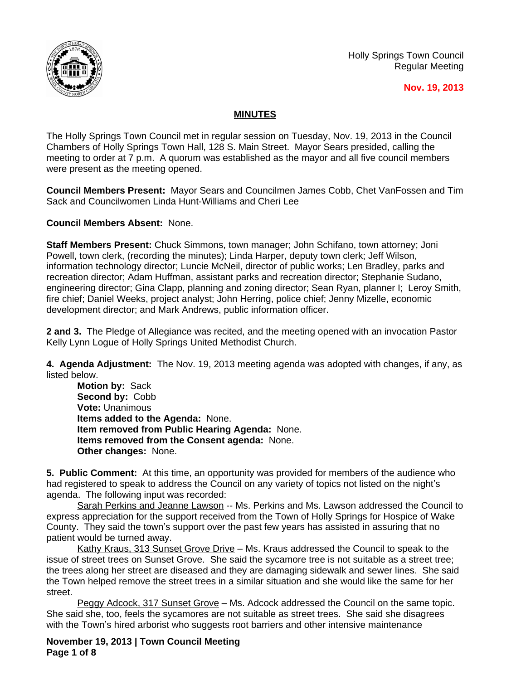

Holly Springs Town Council Regular Meeting

## **Nov. 19, 2013**

## **MINUTES**

The Holly Springs Town Council met in regular session on Tuesday, Nov. 19, 2013 in the Council Chambers of Holly Springs Town Hall, 128 S. Main Street. Mayor Sears presided, calling the meeting to order at 7 p.m. A quorum was established as the mayor and all five council members were present as the meeting opened.

**Council Members Present:** Mayor Sears and Councilmen James Cobb, Chet VanFossen and Tim Sack and Councilwomen Linda Hunt-Williams and Cheri Lee

**Council Members Absent:** None.

**Staff Members Present:** Chuck Simmons, town manager; John Schifano, town attorney; Joni Powell, town clerk, (recording the minutes); Linda Harper, deputy town clerk; Jeff Wilson, information technology director; Luncie McNeil, director of public works; Len Bradley, parks and recreation director; Adam Huffman, assistant parks and recreation director; Stephanie Sudano, engineering director; Gina Clapp, planning and zoning director; Sean Ryan, planner I; Leroy Smith, fire chief; Daniel Weeks, project analyst; John Herring, police chief; Jenny Mizelle, economic development director; and Mark Andrews, public information officer.

**2 and 3.** The Pledge of Allegiance was recited, and the meeting opened with an invocation Pastor Kelly Lynn Logue of Holly Springs United Methodist Church.

**4. Agenda Adjustment:** The Nov. 19, 2013 meeting agenda was adopted with changes, if any, as listed below.

**Motion by:** Sack **Second by:** Cobb **Vote:** Unanimous **Items added to the Agenda:** None. **Item removed from Public Hearing Agenda:** None. **Items removed from the Consent agenda:** None. **Other changes:** None.

**5. Public Comment:** At this time, an opportunity was provided for members of the audience who had registered to speak to address the Council on any variety of topics not listed on the night's agenda. The following input was recorded:

Sarah Perkins and Jeanne Lawson -- Ms. Perkins and Ms. Lawson addressed the Council to express appreciation for the support received from the Town of Holly Springs for Hospice of Wake County. They said the town's support over the past few years has assisted in assuring that no patient would be turned away.

Kathy Kraus, 313 Sunset Grove Drive – Ms. Kraus addressed the Council to speak to the issue of street trees on Sunset Grove. She said the sycamore tree is not suitable as a street tree; the trees along her street are diseased and they are damaging sidewalk and sewer lines. She said the Town helped remove the street trees in a similar situation and she would like the same for her street.

Peggy Adcock, 317 Sunset Grove – Ms. Adcock addressed the Council on the same topic. She said she, too, feels the sycamores are not suitable as street trees. She said she disagrees with the Town's hired arborist who suggests root barriers and other intensive maintenance

**November 19, 2013 | Town Council Meeting Page 1 of 8**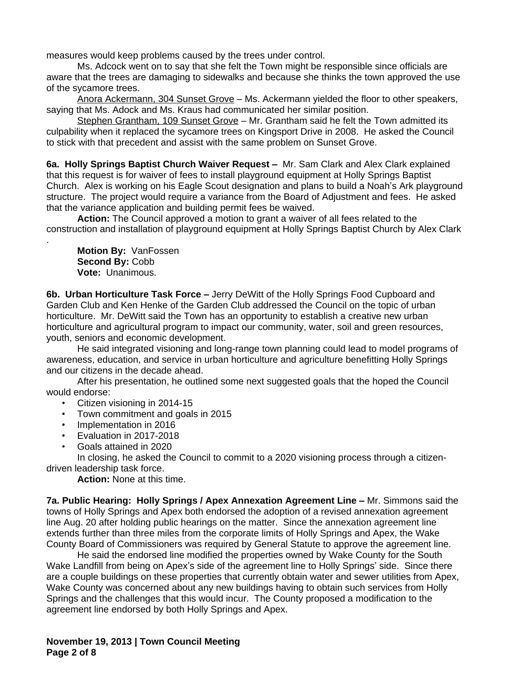measures would keep problems caused by the trees under control.

Ms. Adcock went on to say that she felt the Town might be responsible since officials are aware that the trees are damaging to sidewalks and because she thinks the town approved the use of the sycamore trees.

Anora Ackermann, 304 Sunset Grove - Ms. Ackermann yielded the floor to other speakers, saying that Ms. Adock and Ms. Kraus had communicated her similar position.

Stephen Grantham, 109 Sunset Grove – Mr. Grantham said he felt the Town admitted its culpability when it replaced the sycamore trees on Kingsport Drive in 2008. He asked the Council to stick with that precedent and assist with the same problem on Sunset Grove.

**6a. Holly Springs Baptist Church Waiver Request –** Mr. Sam Clark and Alex Clark explained that this request is for waiver of fees to install playground equipment at Holly Springs Baptist Church. Alex is working on his Eagle Scout designation and plans to build a Noah's Ark playground structure. The project would require a variance from the Board of Adjustment and fees. He asked that the variance application and building permit fees be waived.

**Action:** The Council approved a motion to grant a waiver of all fees related to the construction and installation of playground equipment at Holly Springs Baptist Church by Alex Clark

**Motion By:** VanFossen **Second By:** Cobb **Vote:** Unanimous.

.

**6b. Urban Horticulture Task Force –** Jerry DeWitt of the Holly Springs Food Cupboard and Garden Club and Ken Henke of the Garden Club addressed the Council on the topic of urban horticulture. Mr. DeWitt said the Town has an opportunity to establish a creative new urban horticulture and agricultural program to impact our community, water, soil and green resources, youth, seniors and economic development.

He said integrated visioning and long-range town planning could lead to model programs of awareness, education, and service in urban horticulture and agriculture benefitting Holly Springs and our citizens in the decade ahead.

After his presentation, he outlined some next suggested goals that the hoped the Council would endorse:

- Citizen visioning in 2014-15
- Town commitment and goals in 2015
- Implementation in 2016
- Evaluation in 2017-2018
- Goals attained in 2020

In closing, he asked the Council to commit to a 2020 visioning process through a citizendriven leadership task force.

**Action:** None at this time.

**7a. Public Hearing: Holly Springs / Apex Annexation Agreement Line –** Mr. Simmons said the towns of Holly Springs and Apex both endorsed the adoption of a revised annexation agreement line Aug. 20 after holding public hearings on the matter. Since the annexation agreement line extends further than three miles from the corporate limits of Holly Springs and Apex, the Wake County Board of Commissioners was required by General Statute to approve the agreement line.

He said the endorsed line modified the properties owned by Wake County for the South Wake Landfill from being on Apex's side of the agreement line to Holly Springs' side. Since there are a couple buildings on these properties that currently obtain water and sewer utilities from Apex, Wake County was concerned about any new buildings having to obtain such services from Holly Springs and the challenges that this would incur. The County proposed a modification to the agreement line endorsed by both Holly Springs and Apex.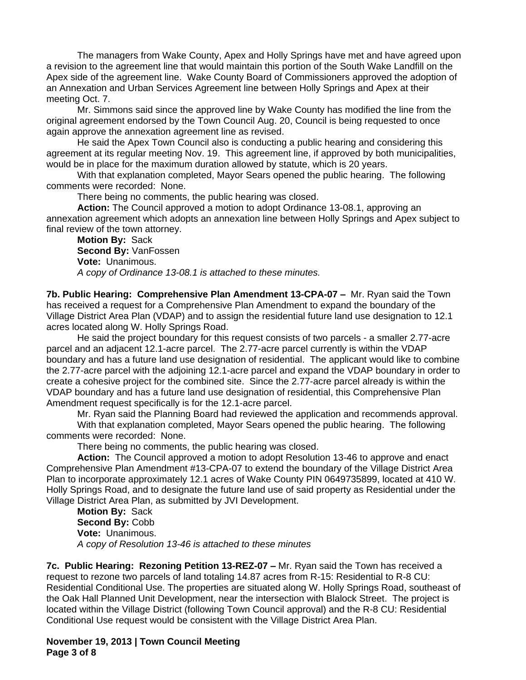The managers from Wake County, Apex and Holly Springs have met and have agreed upon a revision to the agreement line that would maintain this portion of the South Wake Landfill on the Apex side of the agreement line. Wake County Board of Commissioners approved the adoption of an Annexation and Urban Services Agreement line between Holly Springs and Apex at their meeting Oct. 7.

Mr. Simmons said since the approved line by Wake County has modified the line from the original agreement endorsed by the Town Council Aug. 20, Council is being requested to once again approve the annexation agreement line as revised.

He said the Apex Town Council also is conducting a public hearing and considering this agreement at its regular meeting Nov. 19. This agreement line, if approved by both municipalities, would be in place for the maximum duration allowed by statute, which is 20 years.

With that explanation completed, Mayor Sears opened the public hearing. The following comments were recorded: None.

There being no comments, the public hearing was closed.

**Action:** The Council approved a motion to adopt Ordinance 13-08.1, approving an annexation agreement which adopts an annexation line between Holly Springs and Apex subject to final review of the town attorney.

**Motion By:** Sack **Second By:** VanFossen **Vote:** Unanimous. *A copy of Ordinance 13-08.1 is attached to these minutes.*

**7b. Public Hearing: Comprehensive Plan Amendment 13-CPA-07 –** Mr. Ryan said the Town has received a request for a Comprehensive Plan Amendment to expand the boundary of the Village District Area Plan (VDAP) and to assign the residential future land use designation to 12.1 acres located along W. Holly Springs Road.

He said the project boundary for this request consists of two parcels - a smaller 2.77-acre parcel and an adjacent 12.1-acre parcel. The 2.77-acre parcel currently is within the VDAP boundary and has a future land use designation of residential. The applicant would like to combine the 2.77-acre parcel with the adjoining 12.1-acre parcel and expand the VDAP boundary in order to create a cohesive project for the combined site. Since the 2.77-acre parcel already is within the VDAP boundary and has a future land use designation of residential, this Comprehensive Plan Amendment request specifically is for the 12.1-acre parcel.

Mr. Ryan said the Planning Board had reviewed the application and recommends approval. With that explanation completed, Mayor Sears opened the public hearing. The following

comments were recorded: None. There being no comments, the public hearing was closed.

**Action:** The Council approved a motion to adopt Resolution 13-46 to approve and enact Comprehensive Plan Amendment #13-CPA-07 to extend the boundary of the Village District Area Plan to incorporate approximately 12.1 acres of Wake County PIN 0649735899, located at 410 W. Holly Springs Road, and to designate the future land use of said property as Residential under the Village District Area Plan, as submitted by JVI Development.

**Motion By:** Sack **Second By:** Cobb **Vote:** Unanimous. *A copy of Resolution 13-46 is attached to these minutes*

**7c. Public Hearing: Rezoning Petition 13-REZ-07 –** Mr. Ryan said the Town has received a request to rezone two parcels of land totaling 14.87 acres from R-15: Residential to R-8 CU: Residential Conditional Use. The properties are situated along W. Holly Springs Road, southeast of the Oak Hall Planned Unit Development, near the intersection with Blalock Street. The project is located within the Village District (following Town Council approval) and the R-8 CU: Residential Conditional Use request would be consistent with the Village District Area Plan.

**November 19, 2013 | Town Council Meeting Page 3 of 8**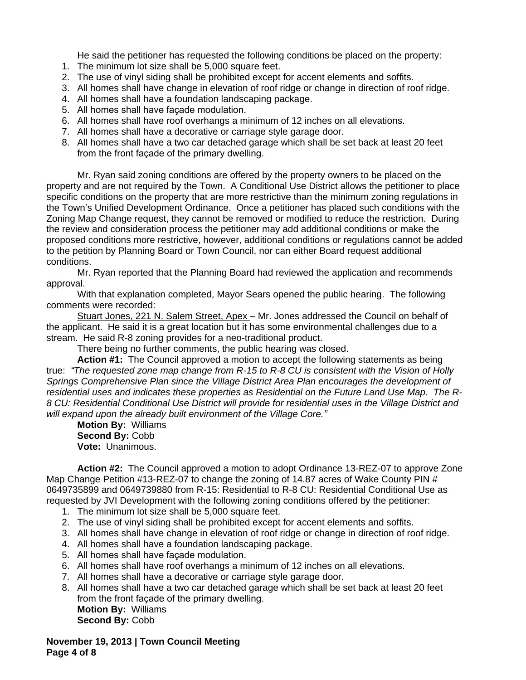He said the petitioner has requested the following conditions be placed on the property:

- 1. The minimum lot size shall be 5,000 square feet.
- 2. The use of vinyl siding shall be prohibited except for accent elements and soffits.
- 3. All homes shall have change in elevation of roof ridge or change in direction of roof ridge.
- 4. All homes shall have a foundation landscaping package.
- 5. All homes shall have façade modulation.
- 6. All homes shall have roof overhangs a minimum of 12 inches on all elevations.
- 7. All homes shall have a decorative or carriage style garage door.
- 8. All homes shall have a two car detached garage which shall be set back at least 20 feet from the front façade of the primary dwelling.

Mr. Ryan said zoning conditions are offered by the property owners to be placed on the property and are not required by the Town. A Conditional Use District allows the petitioner to place specific conditions on the property that are more restrictive than the minimum zoning regulations in the Town's Unified Development Ordinance. Once a petitioner has placed such conditions with the Zoning Map Change request, they cannot be removed or modified to reduce the restriction. During the review and consideration process the petitioner may add additional conditions or make the proposed conditions more restrictive, however, additional conditions or regulations cannot be added to the petition by Planning Board or Town Council, nor can either Board request additional conditions.

Mr. Ryan reported that the Planning Board had reviewed the application and recommends approval.

With that explanation completed, Mayor Sears opened the public hearing. The following comments were recorded:

Stuart Jones, 221 N. Salem Street, Apex - Mr. Jones addressed the Council on behalf of the applicant. He said it is a great location but it has some environmental challenges due to a stream. He said R-8 zoning provides for a neo-traditional product.

There being no further comments, the public hearing was closed.

**Action #1:** The Council approved a motion to accept the following statements as being true: *"The requested zone map change from R-15 to R-8 CU is consistent with the Vision of Holly Springs Comprehensive Plan since the Village District Area Plan encourages the development of residential uses and indicates these properties as Residential on the Future Land Use Map. The R-8 CU: Residential Conditional Use District will provide for residential uses in the Village District and will expand upon the already built environment of the Village Core."*

**Motion By:** Williams **Second By:** Cobb **Vote:** Unanimous.

**Action #2:** The Council approved a motion to adopt Ordinance 13-REZ-07 to approve Zone Map Change Petition #13-REZ-07 to change the zoning of 14.87 acres of Wake County PIN # 0649735899 and 0649739880 from R-15: Residential to R-8 CU: Residential Conditional Use as requested by JVI Development with the following zoning conditions offered by the petitioner:

- 1. The minimum lot size shall be 5,000 square feet.
- 2. The use of vinyl siding shall be prohibited except for accent elements and soffits.
- 3. All homes shall have change in elevation of roof ridge or change in direction of roof ridge.
- 4. All homes shall have a foundation landscaping package.
- 5. All homes shall have façade modulation.
- 6. All homes shall have roof overhangs a minimum of 12 inches on all elevations.
- 7. All homes shall have a decorative or carriage style garage door.
- 8. All homes shall have a two car detached garage which shall be set back at least 20 feet from the front façade of the primary dwelling. **Motion By:** Williams **Second By:** Cobb

**November 19, 2013 | Town Council Meeting Page 4 of 8**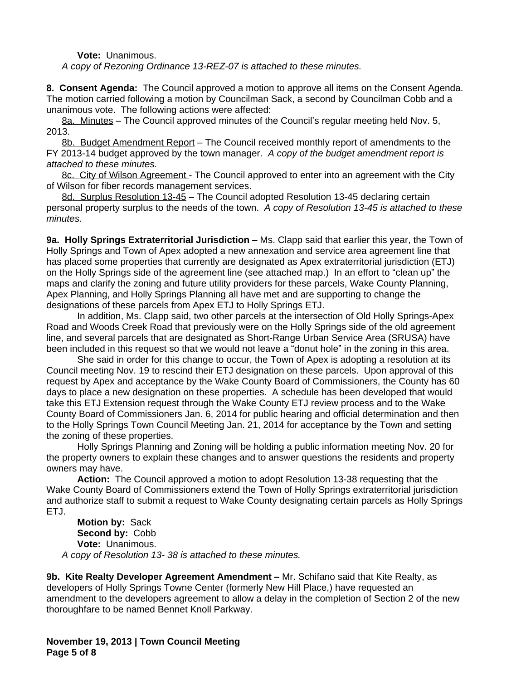**Vote:** Unanimous.

*A copy of Rezoning Ordinance 13-REZ-07 is attached to these minutes.*

**8. Consent Agenda:** The Council approved a motion to approve all items on the Consent Agenda. The motion carried following a motion by Councilman Sack, a second by Councilman Cobb and a unanimous vote. The following actions were affected:

8a. Minutes – The Council approved minutes of the Council's regular meeting held Nov. 5, 2013.

8b. Budget Amendment Report – The Council received monthly report of amendments to the FY 2013-14 budget approved by the town manager. *A copy of the budget amendment report is attached to these minutes.*

8c. City of Wilson Agreement - The Council approved to enter into an agreement with the City of Wilson for fiber records management services.

8d. Surplus Resolution 13-45 – The Council adopted Resolution 13-45 declaring certain personal property surplus to the needs of the town. *A copy of Resolution 13-45 is attached to these minutes.*

**9a. Holly Springs Extraterritorial Jurisdiction** – Ms. Clapp said that earlier this year, the Town of Holly Springs and Town of Apex adopted a new annexation and service area agreement line that has placed some properties that currently are designated as Apex extraterritorial jurisdiction (ETJ) on the Holly Springs side of the agreement line (see attached map.) In an effort to "clean up" the maps and clarify the zoning and future utility providers for these parcels, Wake County Planning, Apex Planning, and Holly Springs Planning all have met and are supporting to change the designations of these parcels from Apex ETJ to Holly Springs ETJ.

In addition, Ms. Clapp said, two other parcels at the intersection of Old Holly Springs-Apex Road and Woods Creek Road that previously were on the Holly Springs side of the old agreement line, and several parcels that are designated as Short-Range Urban Service Area (SRUSA) have been included in this request so that we would not leave a "donut hole" in the zoning in this area.

She said in order for this change to occur, the Town of Apex is adopting a resolution at its Council meeting Nov. 19 to rescind their ETJ designation on these parcels. Upon approval of this request by Apex and acceptance by the Wake County Board of Commissioners, the County has 60 days to place a new designation on these properties. A schedule has been developed that would take this ETJ Extension request through the Wake County ETJ review process and to the Wake County Board of Commissioners Jan. 6, 2014 for public hearing and official determination and then to the Holly Springs Town Council Meeting Jan. 21, 2014 for acceptance by the Town and setting the zoning of these properties.

Holly Springs Planning and Zoning will be holding a public information meeting Nov. 20 for the property owners to explain these changes and to answer questions the residents and property owners may have.

**Action:** The Council approved a motion to adopt Resolution 13-38 requesting that the Wake County Board of Commissioners extend the Town of Holly Springs extraterritorial jurisdiction and authorize staff to submit a request to Wake County designating certain parcels as Holly Springs ETJ.

**Motion by:** Sack **Second by:** Cobb **Vote:** Unanimous. *A copy of Resolution 13- 38 is attached to these minutes.*

**9b. Kite Realty Developer Agreement Amendment – Mr. Schifano said that Kite Realty, as** developers of Holly Springs Towne Center (formerly New Hill Place,) have requested an amendment to the developers agreement to allow a delay in the completion of Section 2 of the new thoroughfare to be named Bennet Knoll Parkway.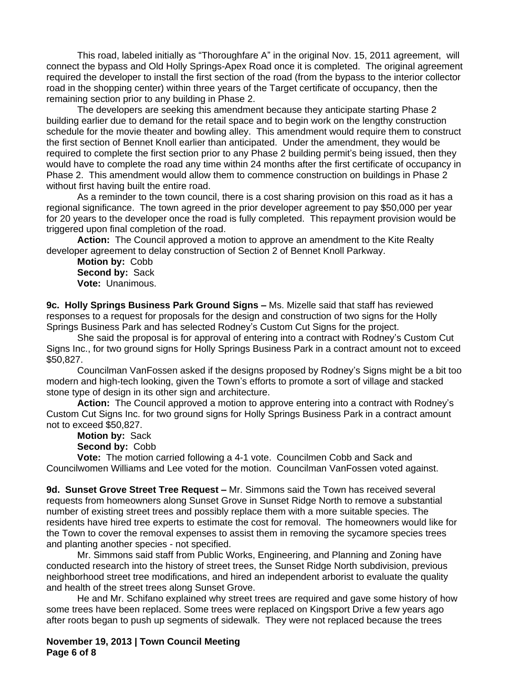This road, labeled initially as "Thoroughfare A" in the original Nov. 15, 2011 agreement, will connect the bypass and Old Holly Springs-Apex Road once it is completed. The original agreement required the developer to install the first section of the road (from the bypass to the interior collector road in the shopping center) within three years of the Target certificate of occupancy, then the remaining section prior to any building in Phase 2.

The developers are seeking this amendment because they anticipate starting Phase 2 building earlier due to demand for the retail space and to begin work on the lengthy construction schedule for the movie theater and bowling alley. This amendment would require them to construct the first section of Bennet Knoll earlier than anticipated. Under the amendment, they would be required to complete the first section prior to any Phase 2 building permit's being issued, then they would have to complete the road any time within 24 months after the first certificate of occupancy in Phase 2. This amendment would allow them to commence construction on buildings in Phase 2 without first having built the entire road.

As a reminder to the town council, there is a cost sharing provision on this road as it has a regional significance. The town agreed in the prior developer agreement to pay \$50,000 per year for 20 years to the developer once the road is fully completed. This repayment provision would be triggered upon final completion of the road.

**Action:** The Council approved a motion to approve an amendment to the Kite Realty developer agreement to delay construction of Section 2 of Bennet Knoll Parkway.

**Motion by:** Cobb **Second by:** Sack **Vote:** Unanimous.

**9c. Holly Springs Business Park Ground Signs –** Ms. Mizelle said that staff has reviewed responses to a request for proposals for the design and construction of two signs for the Holly Springs Business Park and has selected Rodney's Custom Cut Signs for the project.

She said the proposal is for approval of entering into a contract with Rodney's Custom Cut Signs Inc., for two ground signs for Holly Springs Business Park in a contract amount not to exceed \$50,827.

Councilman VanFossen asked if the designs proposed by Rodney's Signs might be a bit too modern and high-tech looking, given the Town's efforts to promote a sort of village and stacked stone type of design in its other sign and architecture.

**Action:** The Council approved a motion to approve entering into a contract with Rodney's Custom Cut Signs Inc. for two ground signs for Holly Springs Business Park in a contract amount not to exceed \$50,827.

**Motion by:** Sack **Second by:** Cobb

**Vote:** The motion carried following a 4-1 vote. Councilmen Cobb and Sack and Councilwomen Williams and Lee voted for the motion. Councilman VanFossen voted against.

**9d. Sunset Grove Street Tree Request –** Mr. Simmons said the Town has received several requests from homeowners along Sunset Grove in Sunset Ridge North to remove a substantial number of existing street trees and possibly replace them with a more suitable species. The residents have hired tree experts to estimate the cost for removal. The homeowners would like for the Town to cover the removal expenses to assist them in removing the sycamore species trees and planting another species - not specified.

Mr. Simmons said staff from Public Works, Engineering, and Planning and Zoning have conducted research into the history of street trees, the Sunset Ridge North subdivision, previous neighborhood street tree modifications, and hired an independent arborist to evaluate the quality and health of the street trees along Sunset Grove.

He and Mr. Schifano explained why street trees are required and gave some history of how some trees have been replaced. Some trees were replaced on Kingsport Drive a few years ago after roots began to push up segments of sidewalk. They were not replaced because the trees

**November 19, 2013 | Town Council Meeting Page 6 of 8**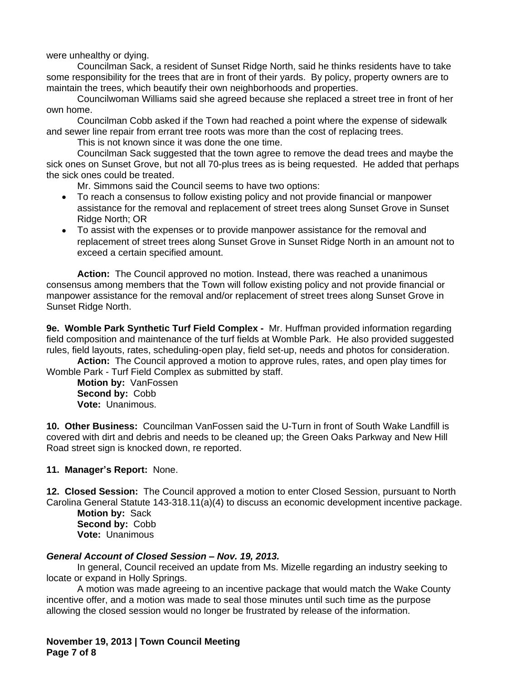were unhealthy or dying.

Councilman Sack, a resident of Sunset Ridge North, said he thinks residents have to take some responsibility for the trees that are in front of their yards. By policy, property owners are to maintain the trees, which beautify their own neighborhoods and properties.

Councilwoman Williams said she agreed because she replaced a street tree in front of her own home.

Councilman Cobb asked if the Town had reached a point where the expense of sidewalk and sewer line repair from errant tree roots was more than the cost of replacing trees.

This is not known since it was done the one time.

Councilman Sack suggested that the town agree to remove the dead trees and maybe the sick ones on Sunset Grove, but not all 70-plus trees as is being requested. He added that perhaps the sick ones could be treated.

Mr. Simmons said the Council seems to have two options:

- To reach a consensus to follow existing policy and not provide financial or manpower assistance for the removal and replacement of street trees along Sunset Grove in Sunset Ridge North; OR
- To assist with the expenses or to provide manpower assistance for the removal and replacement of street trees along Sunset Grove in Sunset Ridge North in an amount not to exceed a certain specified amount.

**Action:** The Council approved no motion. Instead, there was reached a unanimous consensus among members that the Town will follow existing policy and not provide financial or manpower assistance for the removal and/or replacement of street trees along Sunset Grove in Sunset Ridge North.

**9e. Womble Park Synthetic Turf Field Complex -** Mr. Huffman provided information regarding field composition and maintenance of the turf fields at Womble Park. He also provided suggested rules, field layouts, rates, scheduling-open play, field set-up, needs and photos for consideration.

**Action:** The Council approved a motion to approve rules, rates, and open play times for Womble Park - Turf Field Complex as submitted by staff.

**Motion by:** VanFossen **Second by:** Cobb **Vote:** Unanimous.

**10. Other Business:** Councilman VanFossen said the U-Turn in front of South Wake Landfill is covered with dirt and debris and needs to be cleaned up; the Green Oaks Parkway and New Hill Road street sign is knocked down, re reported.

**11. Manager's Report:** None.

**12. Closed Session:** The Council approved a motion to enter Closed Session, pursuant to North Carolina General Statute 143-318.11(a)(4) to discuss an economic development incentive package.

**Motion by:** Sack **Second by:** Cobb **Vote:** Unanimous

## *General Account of Closed Session – Nov. 19, 2013.*

In general, Council received an update from Ms. Mizelle regarding an industry seeking to locate or expand in Holly Springs.

A motion was made agreeing to an incentive package that would match the Wake County incentive offer, and a motion was made to seal those minutes until such time as the purpose allowing the closed session would no longer be frustrated by release of the information.

**November 19, 2013 | Town Council Meeting Page 7 of 8**